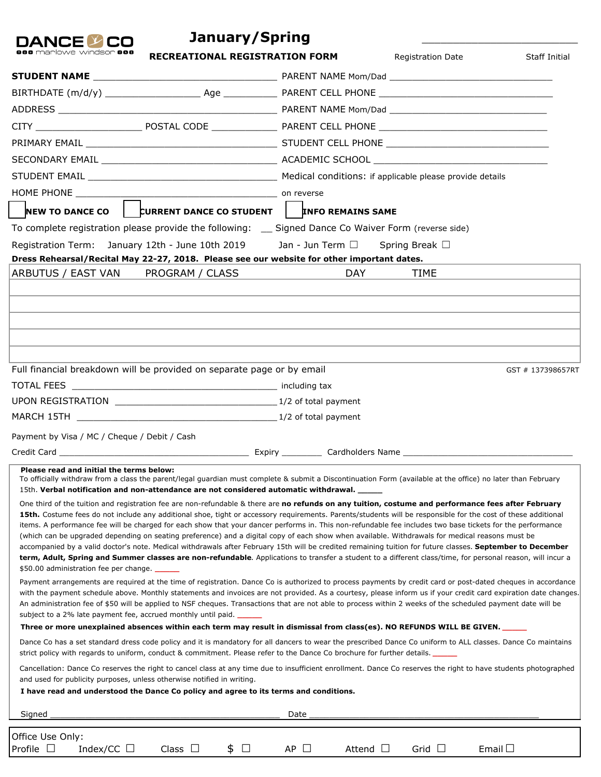| January/Spring<br><b>ANCFI</b>                                                                                                                                                                                                                                                                                                                                                                                                                                                                                                                                                                                                               |                              |                     |                      |
|----------------------------------------------------------------------------------------------------------------------------------------------------------------------------------------------------------------------------------------------------------------------------------------------------------------------------------------------------------------------------------------------------------------------------------------------------------------------------------------------------------------------------------------------------------------------------------------------------------------------------------------------|------------------------------|---------------------|----------------------|
| iarlowe windsor <b>aaa</b><br><b>RECREATIONAL REGISTRATION FORM</b>                                                                                                                                                                                                                                                                                                                                                                                                                                                                                                                                                                          |                              | Registration Date   | <b>Staff Initial</b> |
|                                                                                                                                                                                                                                                                                                                                                                                                                                                                                                                                                                                                                                              |                              |                     |                      |
|                                                                                                                                                                                                                                                                                                                                                                                                                                                                                                                                                                                                                                              |                              |                     |                      |
|                                                                                                                                                                                                                                                                                                                                                                                                                                                                                                                                                                                                                                              |                              |                     |                      |
|                                                                                                                                                                                                                                                                                                                                                                                                                                                                                                                                                                                                                                              |                              |                     |                      |
|                                                                                                                                                                                                                                                                                                                                                                                                                                                                                                                                                                                                                                              |                              |                     |                      |
|                                                                                                                                                                                                                                                                                                                                                                                                                                                                                                                                                                                                                                              |                              |                     |                      |
|                                                                                                                                                                                                                                                                                                                                                                                                                                                                                                                                                                                                                                              |                              |                     |                      |
|                                                                                                                                                                                                                                                                                                                                                                                                                                                                                                                                                                                                                                              |                              |                     |                      |
| NEW TO DANCE CO $\parallel$ CURRENT DANCE CO STUDENT $\parallel$ TIMFO REMAINS SAME                                                                                                                                                                                                                                                                                                                                                                                                                                                                                                                                                          |                              |                     |                      |
| To complete registration please provide the following: __ Signed Dance Co Waiver Form (reverse side)                                                                                                                                                                                                                                                                                                                                                                                                                                                                                                                                         |                              |                     |                      |
| Registration Term: January 12th - June 10th 2019 Jan - Jun Term $\Box$                                                                                                                                                                                                                                                                                                                                                                                                                                                                                                                                                                       |                              | Spring Break $\Box$ |                      |
| Dress Rehearsal/Recital May 22-27, 2018. Please see our website for other important dates.                                                                                                                                                                                                                                                                                                                                                                                                                                                                                                                                                   |                              |                     |                      |
| PROGRAM / CLASS<br>ARBUTUS / EAST VAN                                                                                                                                                                                                                                                                                                                                                                                                                                                                                                                                                                                                        | DAY.                         | TIME                |                      |
|                                                                                                                                                                                                                                                                                                                                                                                                                                                                                                                                                                                                                                              |                              |                     |                      |
|                                                                                                                                                                                                                                                                                                                                                                                                                                                                                                                                                                                                                                              |                              |                     |                      |
|                                                                                                                                                                                                                                                                                                                                                                                                                                                                                                                                                                                                                                              |                              |                     |                      |
|                                                                                                                                                                                                                                                                                                                                                                                                                                                                                                                                                                                                                                              |                              |                     |                      |
|                                                                                                                                                                                                                                                                                                                                                                                                                                                                                                                                                                                                                                              |                              |                     |                      |
| Full financial breakdown will be provided on separate page or by email                                                                                                                                                                                                                                                                                                                                                                                                                                                                                                                                                                       |                              |                     | GST # 137398657RT    |
|                                                                                                                                                                                                                                                                                                                                                                                                                                                                                                                                                                                                                                              |                              |                     |                      |
|                                                                                                                                                                                                                                                                                                                                                                                                                                                                                                                                                                                                                                              |                              |                     |                      |
|                                                                                                                                                                                                                                                                                                                                                                                                                                                                                                                                                                                                                                              |                              |                     |                      |
| Payment by Visa / MC / Cheque / Debit / Cash                                                                                                                                                                                                                                                                                                                                                                                                                                                                                                                                                                                                 |                              |                     |                      |
|                                                                                                                                                                                                                                                                                                                                                                                                                                                                                                                                                                                                                                              |                              |                     |                      |
| Please read and initial the terms below:<br>To officially withdraw from a class the parent/legal guardian must complete & submit a Discontinuation Form (available at the office) no later than February<br>15th. Verbal notification and non-attendance are not considered automatic withdrawal.<br>One third of the tuition and registration fee are non-refundable & there are no refunds on any tuition, costume and performance fees after February                                                                                                                                                                                     |                              |                     |                      |
| 15th. Costume fees do not include any additional shoe, tight or accessory requirements. Parents/students will be responsible for the cost of these additional<br>items. A performance fee will be charged for each show that your dancer performs in. This non-refundable fee includes two base tickets for the performance<br>(which can be upgraded depending on seating preference) and a digital copy of each show when available. Withdrawals for medical reasons must be<br>accompanied by a valid doctor's note. Medical withdrawals after February 15th will be credited remaining tuition for future classes. September to December |                              |                     |                      |
| term, Adult, Spring and Summer classes are non-refundable. Applications to transfer a student to a different class/time, for personal reason, will incur a<br>\$50.00 administration fee per change.                                                                                                                                                                                                                                                                                                                                                                                                                                         |                              |                     |                      |
| Payment arrangements are required at the time of registration. Dance Co is authorized to process payments by credit card or post-dated cheques in accordance<br>with the payment schedule above. Monthly statements and invoices are not provided. As a courtesy, please inform us if your credit card expiration date changes.<br>An administration fee of \$50 will be applied to NSF cheques. Transactions that are not able to process within 2 weeks of the scheduled payment date will be<br>subject to a 2% late payment fee, accrued monthly until paid. _______                                                                     |                              |                     |                      |
| Three or more unexplained absences within each term may result in dismissal from class(es). NO REFUNDS WILL BE GIVEN.                                                                                                                                                                                                                                                                                                                                                                                                                                                                                                                        |                              |                     |                      |
| Dance Co has a set standard dress code policy and it is mandatory for all dancers to wear the prescribed Dance Co uniform to ALL classes. Dance Co maintains<br>strict policy with regards to uniform, conduct & commitment. Please refer to the Dance Co brochure for further details.                                                                                                                                                                                                                                                                                                                                                      |                              |                     |                      |
| Cancellation: Dance Co reserves the right to cancel class at any time due to insufficient enrollment. Dance Co reserves the right to have students photographed<br>and used for publicity purposes, unless otherwise notified in writing.                                                                                                                                                                                                                                                                                                                                                                                                    |                              |                     |                      |
| I have read and understood the Dance Co policy and agree to its terms and conditions.                                                                                                                                                                                                                                                                                                                                                                                                                                                                                                                                                        |                              |                     |                      |
| Signed                                                                                                                                                                                                                                                                                                                                                                                                                                                                                                                                                                                                                                       | Date                         |                     |                      |
|                                                                                                                                                                                                                                                                                                                                                                                                                                                                                                                                                                                                                                              |                              |                     |                      |
| Office Use Only:<br>Profile $\square$<br>Index/CC $\Box$<br>Class $\Box$<br>\$<br>$\Box$                                                                                                                                                                                                                                                                                                                                                                                                                                                                                                                                                     | $AP$ $\Box$<br>Attend $\Box$ | Grid $\Box$         | Email $\square$      |